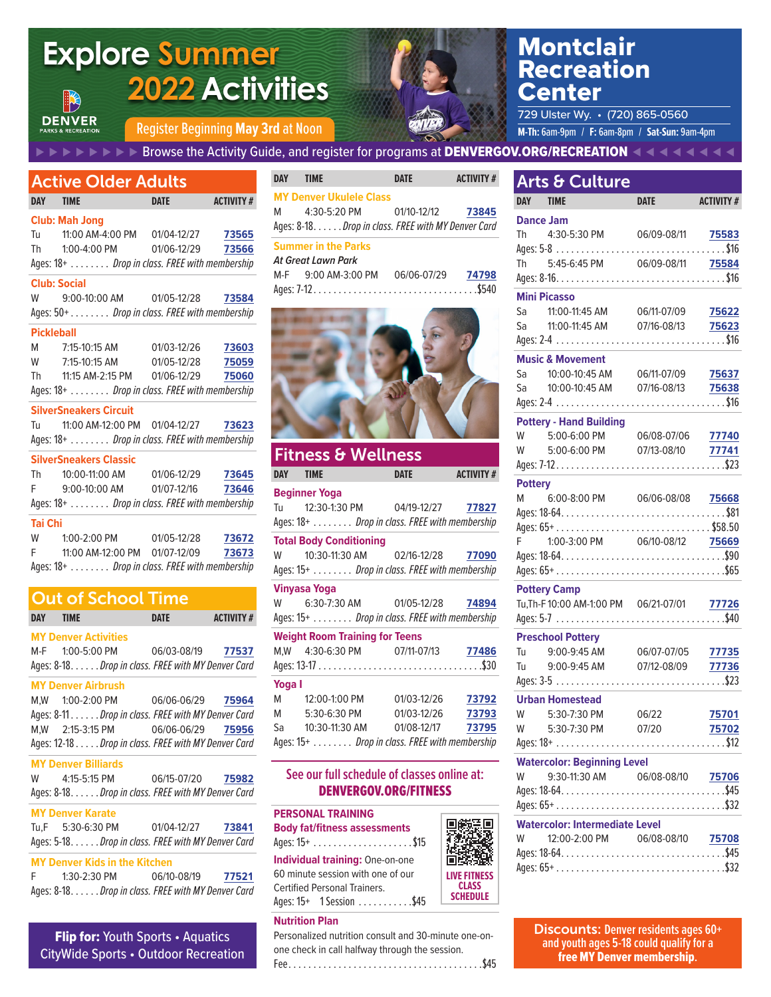#### Montclair **Explore Summer** Recreation  **2022 Activities** Center 729 Ulster Wy. • (720) 865-0560 **DENVER** Register Beginning May 3rd at Noon **MALLA And All And Account Contact Telescopy of F:** 6am-8pm / **Sat-Sun:** 9am-4pm **E**  $\blacktriangleright$  **E**  $\blacktriangleright$  **E** Express the Activity Guide, and register for programs at **DENVERGOV.ORG/RECREATION**  $\blacktriangleleft$  **4**  $\blacktriangleleft$  **4 4 1 DAY TIME DATE ACTIVITY #** Arts & Culture Active Older Adults **MY Denver Ukulele Class DAY TIME DATE ACTIVITY # DAY TIME DATE ACTIVITY #** M 4:30-5:20 PM 01/10-12/12 **73845 Club: Mah Jong Dance Jam** Ages: 8-18 . . . . . *Drop in class. FREE with MY Denver Card* Tu 11:00 AM-4:00 PM 01/04-12/27 **73565** Th 4:30-5:30 PM 06/09-08/11 **75583 Summer in the Parks** Th 1:00-4:00 PM 01/06-12/29 **73566** Ages: 5-8 . . . . . . . . . . . . . . . . . . . . . . . . . . . . . . . . . \$16 *At Great Lawn Park* Ages: 18+ . . . . . . . . *Drop in class. FREE with membership* Th 5:45-6:45 PM 06/09-08/11 **75584** M-F 9:00 AM-3:00 PM 06/06-07/29 **74798 Club: Social** Ages: 7-12 . . . . . . . . . . . . . . . . . . . . . . . . . . . . . . . . \$540 **Mini Picasso** W 9:00-10:00 AM 01/05-12/28 **73584** Ages: 50+ . . . . . . . . *Drop in class. FREE with membership* **Pickleball** M 7:15-10:15 AM 01/03-12/26 **73603 Music & Movement** W 7:15-10:15 AM 01/05-12/28 **75059** Th 11:15 AM-2:15 PM 01/06-12/29 **75060** Ages: 18+ . . . . . . . . *Drop in class. FREE with membership* **SilverSneakers Circuit Pottery - Hand Building** Tu 11:00 AM-12:00 PM 01/04-12/27 **73623** Ages: 18+ . . . . . . . . *Drop in class. FREE with membership* Fitness & Wellness **SilverSneakers Classic** Th 10:00-11:00 AM 01/06-12/29 **73645 DAY TIME DATE ACTIVITY # Beginner Yoga**

Tu 12:30-1:30 PM 04/19-12/27 **77827** Ages: 18+ . . . . . . . . *Drop in class. FREE with membership*

W 10:30-11:30 AM 02/16-12/28 **77090** Ages: 15+ . . . . . . . . *Drop in class. FREE with membership*

W 6:30-7:30 AM 01/05-12/28 **74894** Ages: 15+ . . . . . . . . *Drop in class. FREE with membership*

M,W 4:30-6:30 PM 07/11-07/13 **77486** Ages: 13-17 . . . . . . . . . . . . . . . . . . . . . . . . . . . . . . . . \$30

M 12:00-1:00 PM 01/03-12/26 **73792** M 5:30-6:30 PM 01/03-12/26 **73793** Sa 10:30-11:30 AM 01/08-12/17 **73795** Ages: 15+ . . . . . . . . *Drop in class. FREE with membership*

**See our full schedule of classes online at:**  DENVERGOV.ORG/FITNESS

漂回

**Total Body Conditioning**

**Weight Room Training for Teens**

**PERSONAL TRAINING Body fat/fitness assessments** Ages: 15+ . . . . . . . . . . . . . . . . . . . \$15 **Individual training:** One-on-one

**Vinyasa Yoga**

**Yoga I**

| .                                             | $19.99$ $11.99$ $\sim$ $111$  |             | ,     |  |  |
|-----------------------------------------------|-------------------------------|-------------|-------|--|--|
| F.                                            | 9:00-10:00 AM                 | 01/07-12/16 | 73646 |  |  |
| Ages: 18+ Drop in class. FREE with membership |                               |             |       |  |  |
| <b>Tai Chi</b>                                |                               |             |       |  |  |
| W                                             | 1:00-2:00 PM                  | 01/05-12/28 | 73672 |  |  |
| F.                                            | 11:00 AM-12:00 PM 01/07-12/09 |             | 73673 |  |  |
| Ages: 18+ Drop in class. FREE with membership |                               |             |       |  |  |

### Out of School Time

| DAY TIME |                                                     | <b>DATE</b> | <b>ACTIVITY#</b> |
|----------|-----------------------------------------------------|-------------|------------------|
|          | <b>MY Denver Activities</b>                         |             |                  |
|          | M-F 1:00-5:00 PM 06/03-08/19 77537                  |             |                  |
|          | Ages: 8-18. Drop in class. FREE with MY Denver Card |             |                  |
|          | <b>MY Denver Airbrush</b>                           |             |                  |
|          | M,W 1:00-2:00 PM 06/06-06/29 75964                  |             |                  |
|          | Ages: 8-11. Drop in class. FREE with MY Denver Card |             |                  |
|          | M, W 2:15-3:15 PM 06/06-06/29 75956                 |             |                  |
|          | Ages: 12-18 Drop in class. FREE with MY Denver Card |             |                  |
|          | <b>MY Denver Billiards</b>                          |             |                  |
|          | W 4:15-5:15 PM 06/15-07/20 75982                    |             |                  |
|          | Ages: 8-18. Drop in class. FREE with MY Denver Card |             |                  |
|          | <b>MY Denver Karate</b>                             |             |                  |
|          | Tu,F 5:30-6:30 PM 01/04-12/27 73841                 |             |                  |
|          | Ages: 5-18. Drop in class. FREE with MY Denver Card |             |                  |
|          | <b>MY Denver Kids in the Kitchen</b>                |             |                  |
|          | F 1:30-2:30 PM 06/10-08/19 77521                    |             |                  |
|          | Ages: 8-18. Drop in class. FREE with MY Denver Card |             |                  |

### **Flip for: Youth Sports • Aquatics** CityWide Sports • Outdoor Recreation

60 minute session with one of our Certified Personal Trainers. Ages: 15+ 1 Session . . . . . . . . . . . \$45 **Nutrition Plan** Personalized nutrition consult and 30-minute one-on-**LIVE FITNESS CLASS SCHEDULE**

one check in call halfway through the session. Fee . . . . . . . . . . . . . . . . . . . . . . . . . . . . . . . . . . . . . . \$45

| <b>Mini Picasso</b> |                                                                                                  |       |       |  |  |
|---------------------|--------------------------------------------------------------------------------------------------|-------|-------|--|--|
|                     | Sa 11:00-11:45 AM 06/11-07/09                                                                    |       | 75622 |  |  |
|                     | sa 11:00-11:45 AM 07/16-08/13                                                                    |       | 75623 |  |  |
|                     |                                                                                                  |       |       |  |  |
|                     | <b>Music &amp; Movement</b>                                                                      |       |       |  |  |
|                     | Sa  10:00-10:45 AM  06/11-07/09  75637                                                           |       |       |  |  |
|                     | Sa 10:00-10:45 AM 07/16-08/13 75638                                                              |       |       |  |  |
|                     |                                                                                                  |       |       |  |  |
|                     | <b>Pottery - Hand Building</b>                                                                   |       |       |  |  |
|                     | W 5:00-6:00 PM 06/08-07/06 77740                                                                 |       |       |  |  |
|                     | W 5:00-6:00 PM 07/13-08/10                                                                       |       | 77741 |  |  |
|                     |                                                                                                  |       |       |  |  |
| <b>Pottery</b>      |                                                                                                  |       |       |  |  |
|                     | M 6:00-8:00 PM 06/06-08/08 75668                                                                 |       |       |  |  |
|                     |                                                                                                  |       |       |  |  |
|                     |                                                                                                  |       |       |  |  |
|                     | F 1:00-3:00 PM 06/10-08/12 75669                                                                 |       |       |  |  |
|                     |                                                                                                  |       |       |  |  |
|                     |                                                                                                  |       |       |  |  |
| <b>Pottery Camp</b> |                                                                                                  |       |       |  |  |
|                     | Tu, Th-F 10:00 AM-1:00 PM 06/21-07/01 77726                                                      |       |       |  |  |
|                     |                                                                                                  |       |       |  |  |
|                     | <b>Preschool Pottery</b>                                                                         |       |       |  |  |
|                     | Tu 9:00-9:45 AM 06/07-07/05 <mark>77735</mark><br>Tu 9:00-9:45 AM 07/12-08/09 <mark>77736</mark> |       |       |  |  |
|                     |                                                                                                  |       |       |  |  |
|                     |                                                                                                  |       |       |  |  |
|                     | <b>Urban Homestead</b>                                                                           |       |       |  |  |
| W                   | 5:30-7:30 PM                                                                                     | 06/22 | 75701 |  |  |
|                     | W 5:30-7:30 PM 07/20                                                                             |       | 75702 |  |  |
|                     |                                                                                                  |       |       |  |  |
|                     | <b>Watercolor: Beginning Level</b>                                                               |       |       |  |  |
|                     | W 9:30-11:30 AM 06/08-08/10                                                                      |       | 75706 |  |  |
|                     |                                                                                                  |       |       |  |  |
|                     |                                                                                                  |       |       |  |  |

| <b>Watercolor: Intermediate Level</b> |  |
|---------------------------------------|--|
| W 12:00-2:00 PM 06/08-08/10 75708     |  |
|                                       |  |
|                                       |  |

Discounts: **Denver residents ages 60+ and youth ages 5-18 could qualify for a**  free MY Denver membership**.**